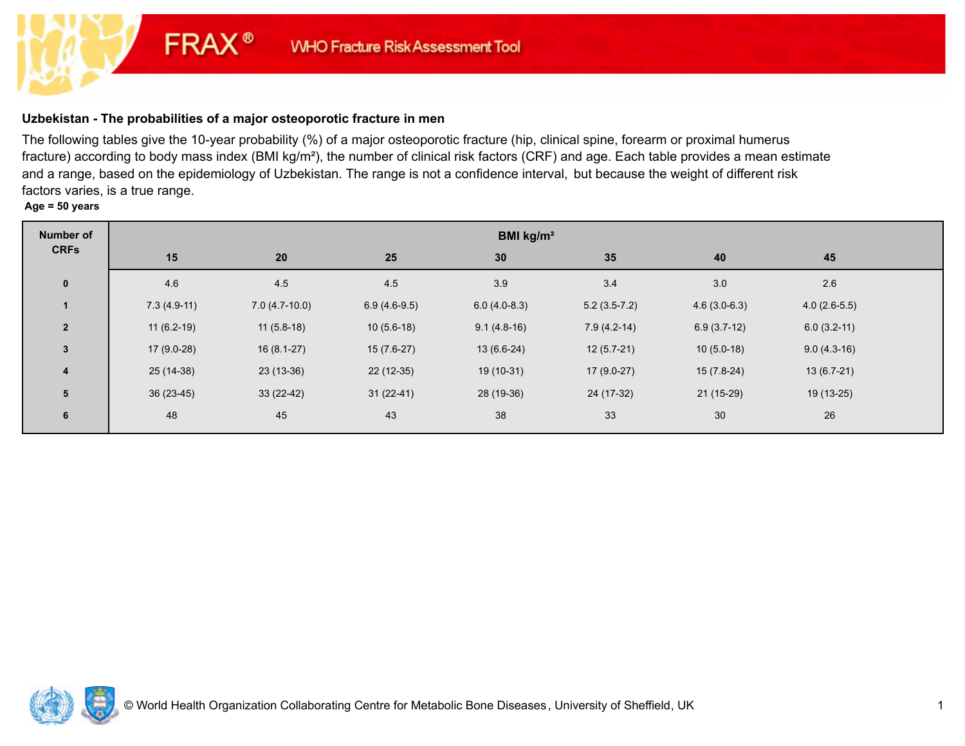# **Uzbekistan - The probabilities of a major osteoporotic fracture in men**

**FRAX®** 

The following tables give the 10-year probability (%) of a major osteoporotic fracture (hip, clinical spine, forearm or proximal humerus fracture) according to body mass index (BMI kg/m²), the number of clinical risk factors (CRF) and age. Each table provides a mean estimate and a range, based on the epidemiology of Uzbekistan. The range is not a confidence interval, but because the weight of different risk factors varies, is a true range.

## **Age = 50 years**

| <b>Number of</b> | BMI kg/m <sup>2</sup> |                 |                |                 |                |                |                |  |
|------------------|-----------------------|-----------------|----------------|-----------------|----------------|----------------|----------------|--|
| <b>CRFs</b>      | 15                    | 20 <sup>°</sup> | 25             | 30 <sup>°</sup> | 35             | 40             | 45             |  |
| $\mathbf 0$      | 4.6                   | 4.5             | 4.5            | 3.9             | 3.4            | 3.0            | 2.6            |  |
| $\mathbf{1}$     | $7.3(4.9-11)$         | $7.0(4.7-10.0)$ | $6.9(4.6-9.5)$ | $6.0(4.0-8.3)$  | $5.2(3.5-7.2)$ | $4.6(3.0-6.3)$ | $4.0(2.6-5.5)$ |  |
| $\overline{2}$   | $11(6.2-19)$          | $11(5.8-18)$    | $10(5.6-18)$   | $9.1(4.8-16)$   | $7.9(4.2-14)$  | $6.9(3.7-12)$  | $6.0(3.2-11)$  |  |
| $\mathbf{3}$     | $17(9.0-28)$          | $16(8.1-27)$    | $15(7.6-27)$   | $13(6.6-24)$    | $12(5.7-21)$   | $10(5.0-18)$   | $9.0(4.3-16)$  |  |
| $\overline{4}$   | 25 (14-38)            | $23(13-36)$     | $22(12-35)$    | $19(10-31)$     | $17(9.0-27)$   | $15(7.8-24)$   | $13(6.7-21)$   |  |
| $5\phantom{1}$   | $36(23-45)$           | $33(22-42)$     | $31(22-41)$    | 28 (19-36)      | 24 (17-32)     | $21(15-29)$    | 19 (13-25)     |  |
| 6                | 48                    | 45              | 43             | 38              | 33             | 30             | 26             |  |

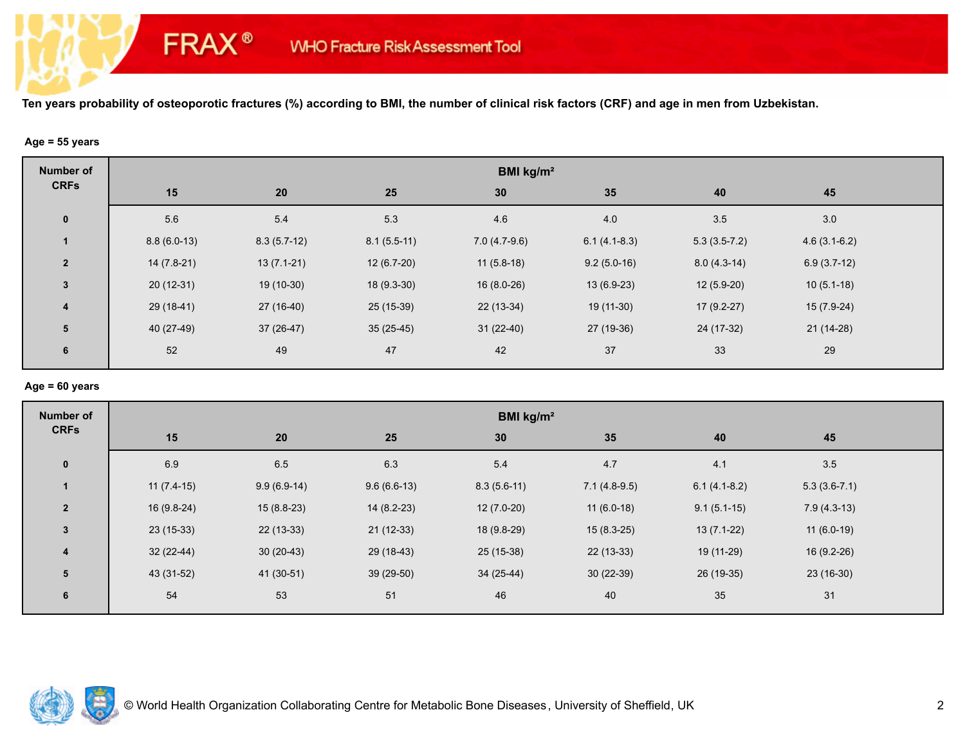## **Age = 55 years**

**FRAX®** 

| <b>Number of</b>        | BMI kg/m <sup>2</sup> |               |               |                |                |                |                |  |  |
|-------------------------|-----------------------|---------------|---------------|----------------|----------------|----------------|----------------|--|--|
| <b>CRFs</b>             | 15                    | 20            | 25            | 30             | 35             | 40             | 45             |  |  |
| $\mathbf 0$             | 5.6                   | 5.4           | 5.3           | 4.6            | 4.0            | 3.5            | $3.0\,$        |  |  |
|                         | $8.8(6.0-13)$         | $8.3(5.7-12)$ | $8.1(5.5-11)$ | $7.0(4.7-9.6)$ | $6.1(4.1-8.3)$ | $5.3(3.5-7.2)$ | $4.6(3.1-6.2)$ |  |  |
| $\overline{2}$          | $14(7.8-21)$          | $13(7.1-21)$  | $12(6.7-20)$  | $11(5.8-18)$   | $9.2(5.0-16)$  | $8.0(4.3-14)$  | $6.9(3.7-12)$  |  |  |
| $\mathbf{3}$            | $20(12-31)$           | 19 (10-30)    | $18(9.3-30)$  | $16(8.0-26)$   | $13(6.9-23)$   | $12(5.9-20)$   | $10(5.1-18)$   |  |  |
| $\overline{\mathbf{4}}$ | 29 (18-41)            | 27 (16-40)    | 25 (15-39)    | 22 (13-34)     | 19 (11-30)     | $17(9.2-27)$   | $15(7.9-24)$   |  |  |
| 5                       | 40 (27-49)            | $37(26-47)$   | $35(25-45)$   | $31(22-40)$    | 27 (19-36)     | 24 (17-32)     | $21(14-28)$    |  |  |
| 6                       | 52                    | 49            | 47            | 42             | 37             | 33             | 29             |  |  |

#### **Age = 60 years**

| <b>Number of</b>        | BMI kg/m <sup>2</sup> |               |               |               |                |                |                |  |  |
|-------------------------|-----------------------|---------------|---------------|---------------|----------------|----------------|----------------|--|--|
| <b>CRFs</b>             | 15                    | 20            | 25            | 30            | 35             | 40             | 45             |  |  |
| $\mathbf{0}$            | 6.9                   | 6.5           | 6.3           | 5.4           | 4.7            | 4.1            | 3.5            |  |  |
| $\mathbf{1}$            | $11(7.4-15)$          | $9.9(6.9-14)$ | $9.6(6.6-13)$ | $8.3(5.6-11)$ | $7.1(4.8-9.5)$ | $6.1(4.1-8.2)$ | $5.3(3.6-7.1)$ |  |  |
| $\overline{2}$          | $16(9.8-24)$          | $15(8.8-23)$  | $14(8.2-23)$  | $12(7.0-20)$  | $11(6.0-18)$   | $9.1(5.1-15)$  | $7.9(4.3-13)$  |  |  |
| $\mathbf{3}$            | 23 (15-33)            | $22(13-33)$   | $21(12-33)$   | 18 (9.8-29)   | $15(8.3-25)$   | $13(7.1-22)$   | $11(6.0-19)$   |  |  |
| $\overline{\mathbf{4}}$ | $32(22-44)$           | $30(20-43)$   | 29 (18-43)    | 25 (15-38)    | $22(13-33)$    | 19 (11-29)     | $16(9.2-26)$   |  |  |
| 5                       | 43 (31-52)            | 41 (30-51)    | $39(29-50)$   | 34 (25-44)    | $30(22-39)$    | 26 (19-35)     | 23 (16-30)     |  |  |
| 6                       | 54                    | 53            | 51            | 46            | 40             | 35             | 31             |  |  |

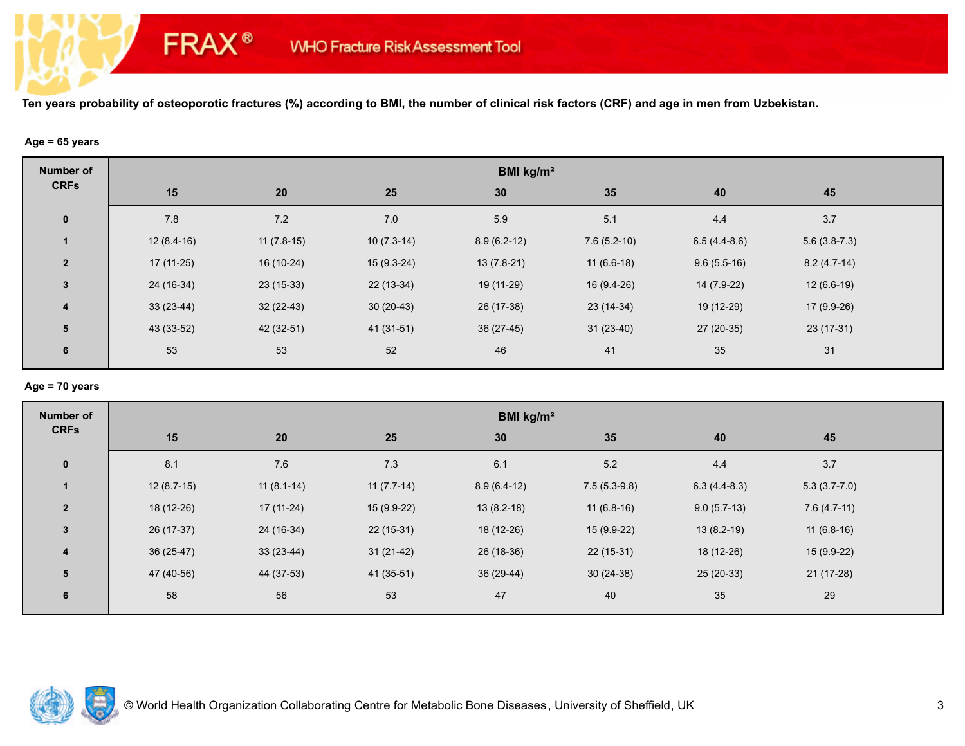## **Age = 65 years**

**FRAX®** 

| <b>Number of</b> | BMI kg/m <sup>2</sup> |              |              |               |               |                |                |  |  |
|------------------|-----------------------|--------------|--------------|---------------|---------------|----------------|----------------|--|--|
| <b>CRFs</b>      | 15                    | 20           | 25           | 30            | 35            | 40             | 45             |  |  |
| $\mathbf 0$      | 7.8                   | 7.2          | 7.0          | 5.9           | 5.1           | 4.4            | 3.7            |  |  |
| $\mathbf 1$      | $12(8.4-16)$          | $11(7.8-15)$ | $10(7.3-14)$ | $8.9(6.2-12)$ | $7.6(5.2-10)$ | $6.5(4.4-8.6)$ | $5.6(3.8-7.3)$ |  |  |
| $\overline{2}$   | $17(11-25)$           | 16 (10-24)   | $15(9.3-24)$ | $13(7.8-21)$  | $11(6.6-18)$  | $9.6(5.5-16)$  | $8.2(4.7-14)$  |  |  |
| $\mathbf{3}$     | 24 (16-34)            | $23(15-33)$  | $22(13-34)$  | 19 (11-29)    | 16 (9.4-26)   | 14 (7.9-22)    | $12(6.6-19)$   |  |  |
| $\overline{4}$   | $33(23-44)$           | $32(22-43)$  | $30(20-43)$  | 26 (17-38)    | $23(14-34)$   | 19 (12-29)     | $17(9.9-26)$   |  |  |
| 5                | 43 (33-52)            | 42 (32-51)   | 41 (31-51)   | 36 (27-45)    | $31(23-40)$   | 27 (20-35)     | 23 (17-31)     |  |  |
| 6                | 53                    | 53           | 52           | 46            | 41            | 35             | 31             |  |  |

## **Age = 70 years**

| <b>Number of</b>        | BMI kg/m <sup>2</sup> |              |              |               |                |                |                |  |  |
|-------------------------|-----------------------|--------------|--------------|---------------|----------------|----------------|----------------|--|--|
| <b>CRFs</b>             | 15                    | 20           | 25           | 30            | 35             | 40             | 45             |  |  |
| $\mathbf{0}$            | 8.1                   | 7.6          | 7.3          | 6.1           | 5.2            | 4.4            | 3.7            |  |  |
| $\mathbf{1}$            | $12(8.7-15)$          | $11(8.1-14)$ | $11(7.7-14)$ | $8.9(6.4-12)$ | $7.5(5.3-9.8)$ | $6.3(4.4-8.3)$ | $5.3(3.7-7.0)$ |  |  |
| $\overline{2}$          | 18 (12-26)            | $17(11-24)$  | 15 (9.9-22)  | $13(8.2-18)$  | $11(6.8-16)$   | $9.0(5.7-13)$  | $7.6(4.7-11)$  |  |  |
| $\mathbf{3}$            | 26 (17-37)            | 24 (16-34)   | $22(15-31)$  | 18 (12-26)    | 15 (9.9-22)    | $13(8.2-19)$   | $11(6.8-16)$   |  |  |
| $\overline{\mathbf{4}}$ | $36(25-47)$           | $33(23-44)$  | $31(21-42)$  | 26 (18-36)    | $22(15-31)$    | 18 (12-26)     | $15(9.9-22)$   |  |  |
| 5                       | 47 (40-56)            | 44 (37-53)   | $41(35-51)$  | 36 (29-44)    | $30(24-38)$    | $25(20-33)$    | $21(17-28)$    |  |  |
| 6                       | 58                    | 56           | 53           | 47            | 40             | 35             | 29             |  |  |

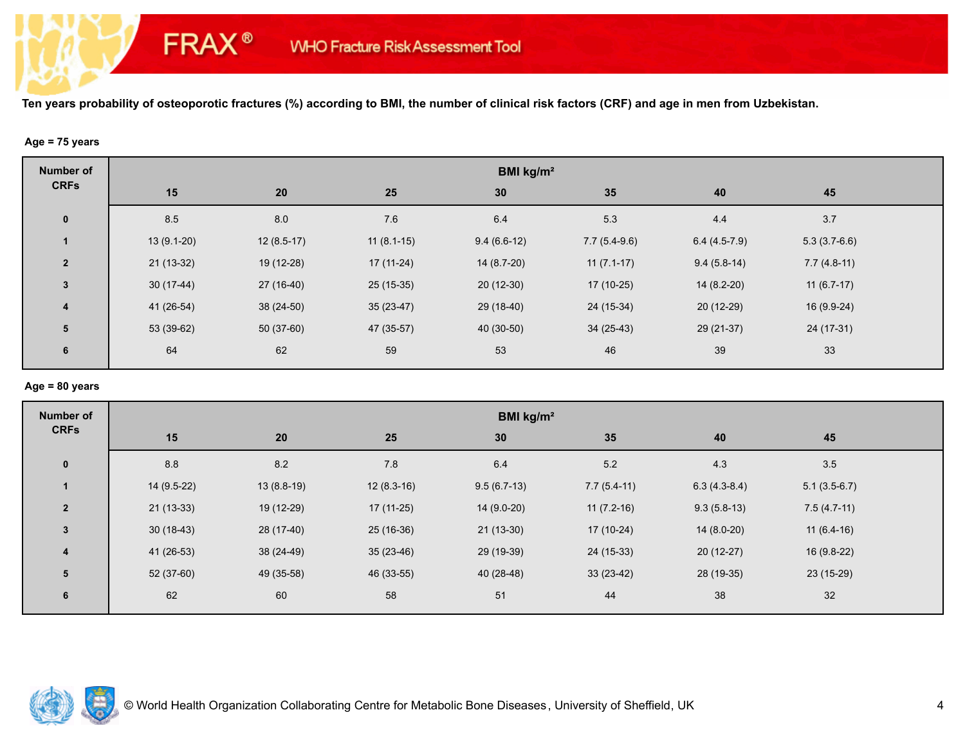## **Age = 75 years**

**FRAX®** 

| <b>Number of</b> | BMI kg/m <sup>2</sup> |              |              |               |                |                |                |  |  |
|------------------|-----------------------|--------------|--------------|---------------|----------------|----------------|----------------|--|--|
| <b>CRFs</b>      | 15                    | 20           | 25           | 30            | 35             | 40             | 45             |  |  |
| $\mathbf 0$      | 8.5                   | 8.0          | $7.6\,$      | 6.4           | 5.3            | 4.4            | 3.7            |  |  |
| 1                | $13(9.1-20)$          | $12(8.5-17)$ | $11(8.1-15)$ | $9.4(6.6-12)$ | $7.7(5.4-9.6)$ | $6.4(4.5-7.9)$ | $5.3(3.7-6.6)$ |  |  |
| $\overline{2}$   | $21(13-32)$           | 19 (12-28)   | $17(11-24)$  | $14(8.7-20)$  | $11(7.1-17)$   | $9.4(5.8-14)$  | $7.7(4.8-11)$  |  |  |
| $3\phantom{a}$   | $30(17-44)$           | 27 (16-40)   | $25(15-35)$  | 20 (12-30)    | $17(10-25)$    | $14(8.2-20)$   | $11(6.7-17)$   |  |  |
| $\overline{4}$   | 41 (26-54)            | $38(24-50)$  | $35(23-47)$  | 29 (18-40)    | 24 (15-34)     | $20(12-29)$    | $16(9.9-24)$   |  |  |
| 5                | 53 (39-62)            | $50(37-60)$  | 47 (35-57)   | 40 (30-50)    | $34(25-43)$    | $29(21-37)$    | 24 (17-31)     |  |  |
| 6                | 64                    | 62           | 59           | 53            | 46             | 39             | 33             |  |  |

#### **Age = 80 years**

| <b>Number of</b> | BMI kg/m <sup>2</sup> |              |              |               |               |                |                |  |
|------------------|-----------------------|--------------|--------------|---------------|---------------|----------------|----------------|--|
| <b>CRFs</b>      | 15                    | 20           | 25           | 30            | 35            | 40             | 45             |  |
| $\mathbf 0$      | 8.8                   | 8.2          | 7.8          | 6.4           | $5.2\,$       | 4.3            | 3.5            |  |
| $\mathbf{1}$     | 14 (9.5-22)           | $13(8.8-19)$ | $12(8.3-16)$ | $9.5(6.7-13)$ | $7.7(5.4-11)$ | $6.3(4.3-8.4)$ | $5.1(3.5-6.7)$ |  |
| $\overline{2}$   | $21(13-33)$           | 19 (12-29)   | $17(11-25)$  | $14(9.0-20)$  | $11(7.2-16)$  | $9.3(5.8-13)$  | $7.5(4.7-11)$  |  |
| $\mathbf{3}$     | $30(18-43)$           | 28 (17-40)   | $25(16-36)$  | $21(13-30)$   | $17(10-24)$   | $14(8.0-20)$   | $11(6.4-16)$   |  |
| $\boldsymbol{4}$ | 41 (26-53)            | 38 (24-49)   | $35(23-46)$  | 29 (19-39)    | 24 (15-33)    | $20(12-27)$    | 16 (9.8-22)    |  |
| 5                | $52(37-60)$           | 49 (35-58)   | 46 (33-55)   | 40 (28-48)    | $33(23-42)$   | 28 (19-35)     | 23 (15-29)     |  |
| 6                | 62                    | 60           | 58           | 51            | 44            | 38             | 32             |  |